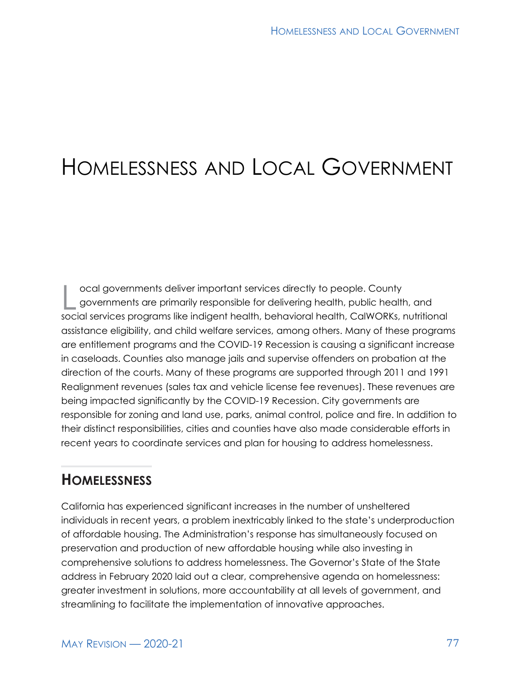# HOMELESSNESS AND LOCAL GOVERNMENT

cal governments deliver important services directly to people. County<br>governments are primarily responsible for delivering health, public health<br>series are are are as illusing indicant health, behavioral health. CalWOPKs governments are primarily responsible for delivering health, public health, and social services programs like indigent health, behavioral health, CalWORKs, nutritional assistance eligibility, and child welfare services, among others. Many of these programs are entitlement programs and the COVID-19 Recession is causing a significant increase in caseloads. Counties also manage jails and supervise offenders on probation at the direction of the courts. Many of these programs are supported through 2011 and 1991 Realignment revenues (sales tax and vehicle license fee revenues). These revenues are being impacted significantly by the COVID-19 Recession. City governments are responsible for zoning and land use, parks, animal control, police and fire. In addition to their distinct responsibilities, cities and counties have also made considerable efforts in recent years to coordinate services and plan for housing to address homelessness.

## **HOMELESSNESS**

California has experienced significant increases in the number of unsheltered individuals in recent years, a problem inextricably linked to the state's underproduction of affordable housing. The Administration's response has simultaneously focused on preservation and production of new affordable housing while also investing in comprehensive solutions to address homelessness. The Governor's State of the State address in February 2020 laid out a clear, comprehensive agenda on homelessness: greater investment in solutions, more accountability at all levels of government, and streamlining to facilitate the implementation of innovative approaches.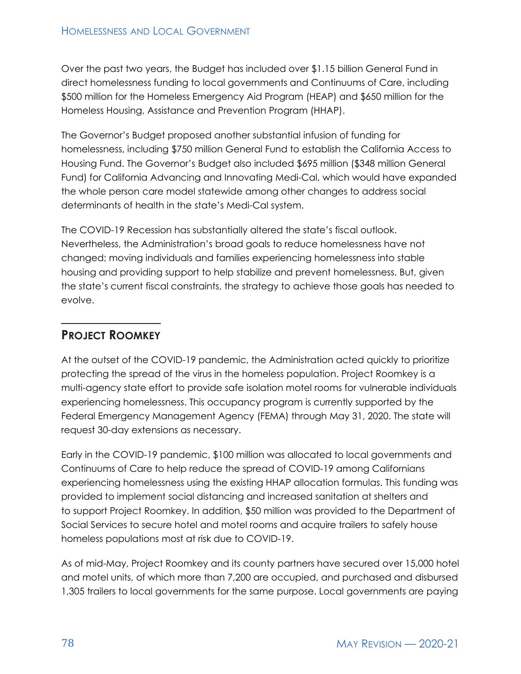Over the past two years, the Budget has included over \$1.15 billion General Fund in direct homelessness funding to local governments and Continuums of Care, including \$500 million for the Homeless Emergency Aid Program (HEAP) and \$650 million for the Homeless Housing, Assistance and Prevention Program (HHAP).

The Governor's Budget proposed another substantial infusion of funding for homelessness, including \$750 million General Fund to establish the California Access to Housing Fund. The Governor's Budget also included \$695 million (\$348 million General Fund) for California Advancing and Innovating Medi-Cal, which would have expanded the whole person care model statewide among other changes to address social determinants of health in the state's Medi-Cal system.

The COVID-19 Recession has substantially altered the state's fiscal outlook. Nevertheless, the Administration's broad goals to reduce homelessness have not changed; moving individuals and families experiencing homelessness into stable housing and providing support to help stabilize and prevent homelessness. But, given the state's current fiscal constraints, the strategy to achieve those goals has needed to evolve.

### **PROJECT ROOMKEY**

At the outset of the COVID-19 pandemic, the Administration acted quickly to prioritize protecting the spread of the virus in the homeless population. Project Roomkey is a multi-agency state effort to provide safe isolation motel rooms for vulnerable individuals experiencing homelessness. This occupancy program is currently supported by the Federal Emergency Management Agency (FEMA) through May 31, 2020. The state will request 30-day extensions as necessary.

Early in the COVID-19 pandemic, \$100 million was allocated to local governments and Continuums of Care to help reduce the spread of COVID-19 among Californians experiencing homelessness using the existing HHAP allocation formulas. This funding was provided to implement social distancing and increased sanitation at shelters and to support Project Roomkey. In addition, \$50 million was provided to the Department of Social Services to secure hotel and motel rooms and acquire trailers to safely house homeless populations most at risk due to COVID-19.

As of mid-May, Project Roomkey and its county partners have secured over 15,000 hotel and motel units, of which more than 7,200 are occupied, and purchased and disbursed 1,305 trailers to local governments for the same purpose. Local governments are paying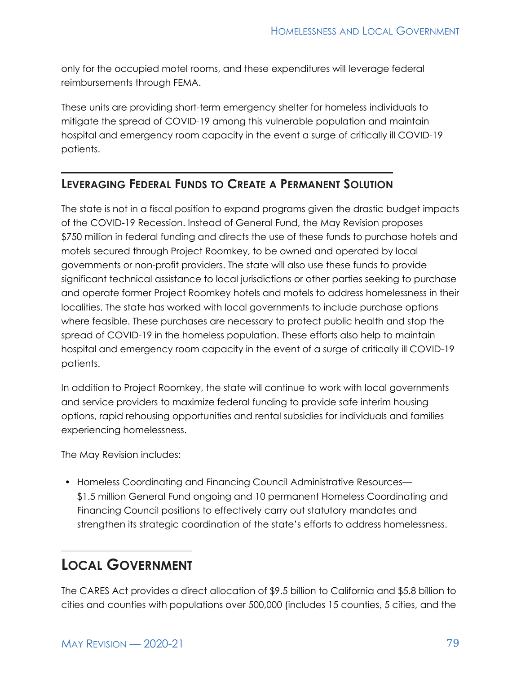only for the occupied motel rooms, and these expenditures will leverage federal reimbursements through FEMA.

These units are providing short-term emergency shelter for homeless individuals to mitigate the spread of COVID-19 among this vulnerable population and maintain hospital and emergency room capacity in the event a surge of critically ill COVID-19 patients.

#### **LEVERAGING FEDERAL FUNDS TO CREATE A PERMANENT SOLUTION**

The state is not in a fiscal position to expand programs given the drastic budget impacts of the COVID-19 Recession. Instead of General Fund, the May Revision proposes \$750 million in federal funding and directs the use of these funds to purchase hotels and motels secured through Project Roomkey, to be owned and operated by local governments or non-profit providers. The state will also use these funds to provide significant technical assistance to local jurisdictions or other parties seeking to purchase and operate former Project Roomkey hotels and motels to address homelessness in their localities. The state has worked with local governments to include purchase options where feasible. These purchases are necessary to protect public health and stop the spread of COVID-19 in the homeless population. These efforts also help to maintain hospital and emergency room capacity in the event of a surge of critically ill COVID-19 patients.

In addition to Project Roomkey, the state will continue to work with local governments and service providers to maximize federal funding to provide safe interim housing options, rapid rehousing opportunities and rental subsidies for individuals and families experiencing homelessness.

The May Revision includes:

• Homeless Coordinating and Financing Council Administrative Resources— \$1.5 million General Fund ongoing and 10 permanent Homeless Coordinating and Financing Council positions to effectively carry out statutory mandates and strengthen its strategic coordination of the state's efforts to address homelessness.

## **LOCAL GOVERNMENT**

The CARES Act provides a direct allocation of \$9.5 billion to California and \$5.8 billion to cities and counties with populations over 500,000 (includes 15 counties, 5 cities, and the